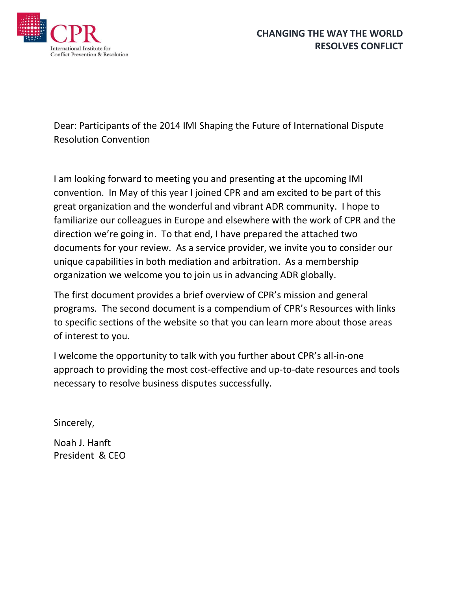

Dear: Participants of the 2014 IMI Shaping the Future of International Dispute Resolution Convention

I am looking forward to meeting you and presenting at the upcoming IMI convention. In May of this year I joined CPR and am excited to be part of this great organization and the wonderful and vibrant ADR community. I hope to familiarize our colleagues in Europe and elsewhere with the work of CPR and the direction we're going in. To that end, I have prepared the attached two documents for your review. As a service provider, we invite you to consider our unique capabilities in both mediation and arbitration. As a membership organization we welcome you to join us in advancing ADR globally.

The first document provides a brief overview of CPR's mission and general programs. The second document is a compendium of CPR's Resources with links to specific sections of the website so that you can learn more about those areas of interest to you.

I welcome the opportunity to talk with you further about CPR's all-in-one approach to providing the most cost-effective and up-to-date resources and tools necessary to resolve business disputes successfully.

Sincerely,

Noah J. Hanft President & CEO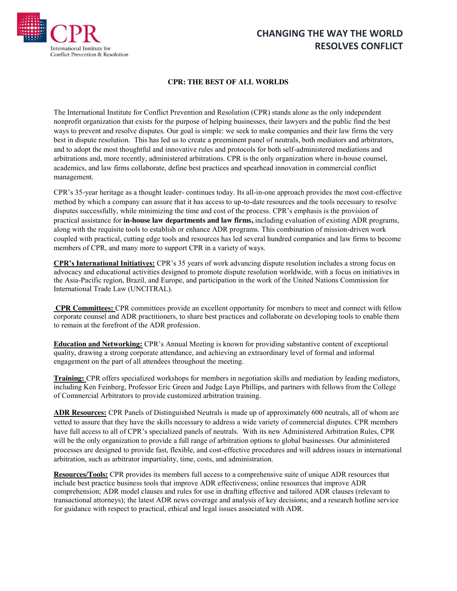

# **CHANGING THE WAY THE WORLD RESOLVES CONFLICT**

#### **CPR: THE BEST OF ALL WORLDS**

The International Institute for Conflict Prevention and Resolution (CPR) stands alone as the only independent nonprofit organization that exists for the purpose of helping businesses, their lawyers and the public find the best ways to prevent and resolve disputes. Our goal is simple: we seek to make companies and their law firms the very best in dispute resolution. This has led us to create a preeminent panel of neutrals, both mediators and arbitrators, and to adopt the most thoughtful and innovative rules and protocols for both self-administered mediations and arbitrations and, more recently, administered arbitrations. CPR is the only organization where in-house counsel, academics, and law firms collaborate, define best practices and spearhead innovation in commercial conflict management.

CPR's 35-year heritage as a thought leader- continues today. Its all-in-one approach provides the most cost-effective method by which a company can assure that it has access to up-to-date resources and the tools necessary to resolve disputes successfully, while minimizing the time and cost of the process. CPR's emphasis is the provision of practical assistance for **in-house law departments and law firms,** including evaluation of existing ADR programs, along with the requisite tools to establish or enhance ADR programs. This combination of mission-driven work coupled with practical, cutting edge tools and resources has led several hundred companies and law firms to become members of CPR, and many more to support CPR in a variety of ways.

**CPR's International Initiatives:** CPR's 35 years of work advancing dispute resolution includes a strong focus on advocacy and educational activities designed to promote dispute resolution worldwide, with a focus on initiatives in the Asia-Pacific region, Brazil, and Europe, and participation in the work of the United Nations Commission for International Trade Law (UNCITRAL).

**CPR Committees:** CPR committees provide an excellent opportunity for members to meet and connect with fellow corporate counsel and ADR practitioners, to share best practices and collaborate on developing tools to enable them to remain at the forefront of the ADR profession.

**Education and Networking:** CPR's Annual Meeting is known for providing substantive content of exceptional quality, drawing a strong corporate attendance, and achieving an extraordinary level of formal and informal engagement on the part of all attendees throughout the meeting.

**Training:** CPR offers specialized workshops for members in negotiation skills and mediation by leading mediators, including Ken Feinberg, Professor Eric Green and Judge Layn Phillips, and partners with fellows from the College of Commercial Arbitrators to provide customized arbitration training.

**ADR Resources:** CPR Panels of Distinguished Neutrals is made up of approximately 600 neutrals, all of whom are vetted to assure that they have the skills necessary to address a wide variety of commercial disputes. CPR members have full access to all of CPR's specialized panels of neutrals. With its new Administered Arbitration Rules, CPR will be the only organization to provide a full range of arbitration options to global businesses. Our administered processes are designed to provide fast, flexible, and cost-effective procedures and will address issues in international arbitration, such as arbitrator impartiality, time, costs, and administration.

**Resources/Tools:** CPR provides its members full access to a comprehensive suite of unique ADR resources that include best practice business tools that improve ADR effectiveness; online resources that improve ADR comprehension; ADR model clauses and rules for use in drafting effective and tailored ADR clauses (relevant to transactional attorneys); the latest ADR news coverage and analysis of key decisions; and a research hotline service for guidance with respect to practical, ethical and legal issues associated with ADR.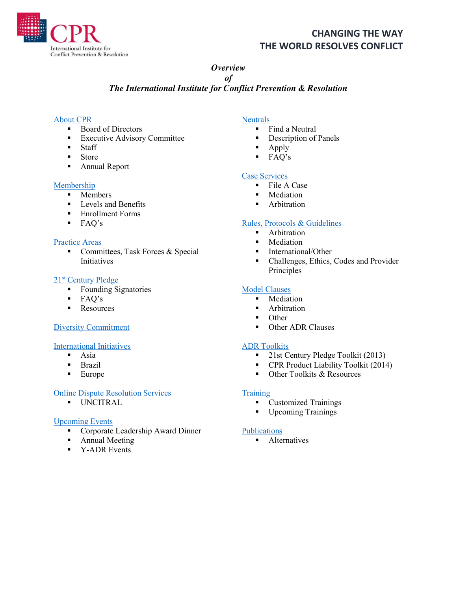

## **CHANGING THE WAY THE WORLD RESOLVES CONFLICT**

#### *Overview*

#### *of The International Institute for Conflict Prevention & Resolution*

## [About CPR](http://www.cpradr.org/About.aspx)

- Board of Directors
- **Executive Advisory Committee**
- **Staff**
- **Store**
- **Annual Report**

#### [Membership](http://www.cpradr.org/Membership/LevelsandBenefits.aspx)

- $M$ embers
- **Levels and Benefits**
- **Enrollment Forms**
- FAQ's

#### [Practice Areas](http://www.cpradr.org/PracticeAreas.aspx)

Committees, Task Forces  $&$  Special **Initiatives** 

#### 21st [Century Pledge](http://www.cpradr.org/PracticeAreas/ADRPledges/21stCenturyPledge.aspx)

- Founding Signatories
- $FAO's$
- **Resources**

### [Diversity Commitment](http://www.cpradr.org/PracticeAreas/NationalTaskForceonDiversityinADR/SigntheDiversityCommitment.aspx)

#### [International Initiatives](http://www.cpradr.org/PracticeAreas/InternationalInitiatives.aspx)

- $-$ Asia
- Brazil
- $\blacksquare$  Europe

### [Online Dispute Resolution Services](http://www.cpradr.org/PracticeAreas/OnlineDisputeResolution.aspx)

 $\blacksquare$  UNCITRAL

### [Upcoming Events](http://www.cpradr.org/EventsEducation.aspx)

- Corporate Leadership Award Dinner
- **Annual Meeting**
- **•** Y-ADR Events

## **[Neutrals](http://www.cpradr.org/Neutrals.aspx)**

- $\blacksquare$  Find a Neutral
- **•** Description of Panels
- $\blacksquare$  Apply
- FAQ's

### [Case Services](http://www.cpradr.org/RulesCaseServices.aspx)

- **File A Case**
- **Mediation**
- **-** Arbitration

### [Rules, Protocols & Guidelines](http://www.cpradr.org/RulesCaseServices/CPRRules.aspx)

- **Arbitration**
- Mediation
- **International/Other**
- Challenges, Ethics, Codes and Provider Principles

### [Model Clauses](http://www.cpradr.org/RulesCaseServices/CPRModelClauses.aspx)

- Mediation
- **Arbitration**
- Other
- Other ADR Clauses

#### [ADR Toolkits](http://www.cpradr.org/PracticeAreas/ADRResourcesToolkits.aspx)

- 21st Century Pledge Toolkit (2013)
- **CPR Product Liability Toolkit (2014)**
- Other Toolkits & Resources

#### **[Training](http://www.cpradr.org/EventsEducation/Training.aspx)**

- **Customized Trainings**
- **Upcoming Trainings**

#### [Publications](http://www.cpradr.org/EventsEducation/Alternatives.aspx)

• Alternatives